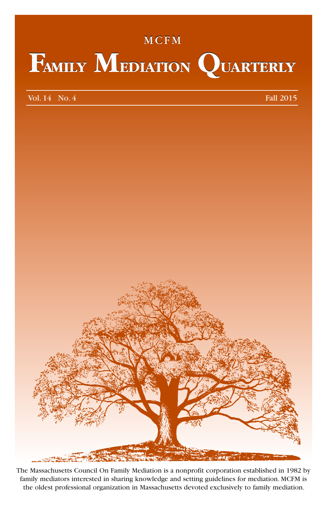# MCFM MCFM **FAMILY MEDIATION QUARTERLY FAMILY MEDIATION QUARTERLY**

Vol. 14 No. 4 **Fall** 2015



The Massachusetts Council On Family Mediation is a nonprofit corporation established in 1982 by family mediators interested in sharing knowledge and setting guidelines for mediation. MCFM is the oldest professional organization in Massachusetts devoted exclusively to family mediation.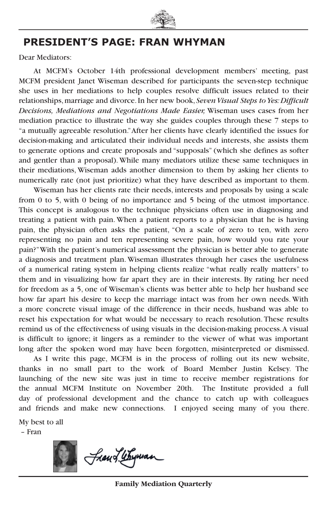

## **PRESIDENT'S PAGE: FRAN WHYMAN**

Dear Mediators:

At MCFM's October 14th professional development members' meeting, past MCFM president Janet Wiseman described for participants the seven-step technique she uses in her mediations to help couples resolve difficult issues related to their relationships, marriage and divorce. In her new book, *Seven Visual Steps to Yes: Difficult Decisions, Mediations and Negotiations Made Easier,* Wiseman uses cases from her mediation practice to illustrate the way she guides couples through these 7 steps to "a mutually agreeable resolution." After her clients have clearly identified the issues for decision-making and articulated their individual needs and interests, she assists them to generate options and create proposals and "supposals" (which she defines as softer and gentler than a proposal). While many mediators utilize these same techniques in their mediations, Wiseman adds another dimension to them by asking her clients to numerically rate (not just prioritize) what they have described as important to them.

Wiseman has her clients rate their needs, interests and proposals by using a scale from 0 to 5, with 0 being of no importance and 5 being of the utmost importance. This concept is analogous to the technique physicians often use in diagnosing and treating a patient with pain. When a patient reports to a physician that he is having pain, the physician often asks the patient, "On a scale of zero to ten, with zero representing no pain and ten representing severe pain, how would you rate your pain?" With the patient's numerical assessment the physician is better able to generate a diagnosis and treatment plan. Wiseman illustrates through her cases the usefulness of a numerical rating system in helping clients realize "what really really matters" to them and in visualizing how far apart they are in their interests. By rating her need for freedom as a 5, one of Wiseman's clients was better able to help her husband see how far apart his desire to keep the marriage intact was from her own needs. With a more concrete visual image of the difference in their needs, husband was able to reset his expectation for what would be necessary to reach resolution. These results remind us of the effectiveness of using visuals in the decision-making process. A visual is difficult to ignore; it lingers as a reminder to the viewer of what was important long after the spoken word may have been forgotten, misinterpreted or dismissed.

As I write this page, MCFM is in the process of rolling out its new website, thanks in no small part to the work of Board Member Justin Kelsey. The launching of the new site was just in time to receive member registrations for the annual MCFM Institute on November 20th. The Institute provided a full day of professional development and the chance to catch up with colleagues and friends and make new connections. I enjoyed seeing many of you there.

My best to all – Fran



Jan Letyman

**Family Mediation Quarterly**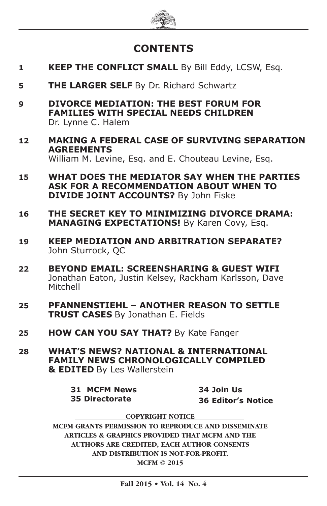

## **CONTENTS**

- **1 KEEP THE CONFLICT SMALL** By Bill Eddy, LCSW, Esq.
- **5 THE LARGER SELF** By Dr. Richard Schwartz
- **9 DIVORCE MEDIATION: THE BEST FORUM FOR FAMILIES WITH SPECIAL NEEDS CHILDREN** Dr. Lynne C. Halem
- **12 MAKING A FEDERAL CASE OF SURVIVING SEPARATION AGREEMENTS** William M. Levine, Esq. and E. Chouteau Levine, Esq.
- **15 WHAT DOES THE MEDIATOR SAY WHEN THE PARTIES ASK FOR A RECOMMENDATION ABOUT WHEN TO DIVIDE JOINT ACCOUNTS?** By John Fiske
- **16 THE SECRET KEY TO MINIMIZING DIVORCE DRAMA: MANAGING EXPECTATIONS!** By Karen Covy, Esq.
- **19 KEEP MEDIATION AND ARBITRATION SEPARATE?** John Sturrock, QC
- **22 BEYOND EMAIL: SCREENSHARING & GUEST WIFI** Jonathan Eaton, Justin Kelsey, Rackham Karlsson, Dave Mitchell
- **25 PFANNENSTIEHL ANOTHER REASON TO SETTLE TRUST CASES** By Jonathan E. Fields
- **25 HOW CAN YOU SAY THAT?** By Kate Fanger
- **28 WHAT'S NEWS? NATIONAL & INTERNATIONAL FAMILY NEWS CHRONOLOGICALLY COMPILED & EDITED** By Les Wallerstein

**31 MCFM News 35 Directorate**

**34 Join Us 36 Editor's Notice**

**COPYRIGHT NOTICE**

**MCFM GRANTS PERMISSION TO REPRODUCE AND DISSEMINATE ARTICLES & GRAPHICS PROVIDED THAT MCFM AND THE AUTHORS ARE CREDITED, EACH AUTHOR CONSENTS AND DISTRIBUTION IS NOT-FOR-PROFIT. MCFM © 2015**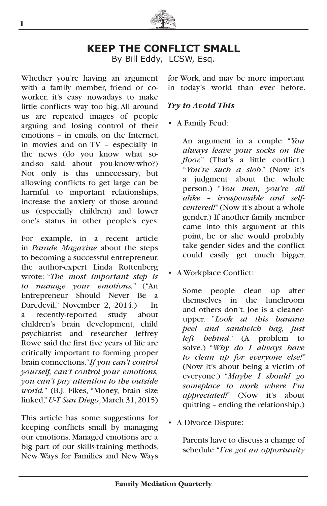

## **KEEP THE CONFLICT SMALL**

By Bill Eddy, LCSW, Esq.

Whether you're having an argument with a family member, friend or coworker, it's easy nowadays to make little conflicts way too big. All around us are repeated images of people arguing and losing control of their emotions – in emails, on the Internet, in movies and on TV – especially in the news (do you know what soand-so said about you-know-who?) Not only is this unnecessary, but allowing conflicts to get large can be harmful to important relationships, increase the anxiety of those around us (especially children) and lower one's status in other people's eyes.

For example, in a recent article in *Parade Magazine* about the steps to becoming a successful entrepreneur, the author-expert Linda Rottenberg wrote: "*The most important step is to manage your emotions.*" ("An Entrepreneur Should Never Be a Daredevil," November 2, 2014.) In a recently-reported study about children's brain development, child psychiatrist and researcher Jeffrey Rowe said the first five years of life are critically important to forming proper brain connections. "*If you can't control yourself, can't control your emotions, you can't pay attention to the outside world.*" (B.J. Fikes, "Money, brain size linked,"*U-T San Diego*, March 31, 2015)

This article has some suggestions for keeping conflicts small by managing our emotions. Managed emotions are a big part of our skills-training methods, New Ways for Families and New Ways for Work, and may be more important in today's world than ever before.

#### *Try to Avoid This*

• A Family Feud:

An argument in a couple: "*You always leave your socks on the floor.*" (That's a little conflict.) "*You're such a slob*." (Now it's a judgment about the whole person.) "*You men, you're all alike – irresponsible and selfcentered!*" (Now it's about a whole gender.) If another family member came into this argument at this point, he or she would probably take gender sides and the conflict could easily get much bigger.

• A Workplace Conflict:

Some people clean up after themselves in the lunchroom and others don't. Joe is a cleanerupper. "*Look at this banana peel and sandwich bag, just left behind*." (A problem to solve.) "*Why do I always have to clean up for everyone else!*" (Now it's about being a victim of everyone.) "*Maybe I should go someplace to work where I'm appreciated!*" (Now it's about quitting – ending the relationship.)

• A Divorce Dispute:

Parents have to discuss a change of schedule: "*I've got an opportunity*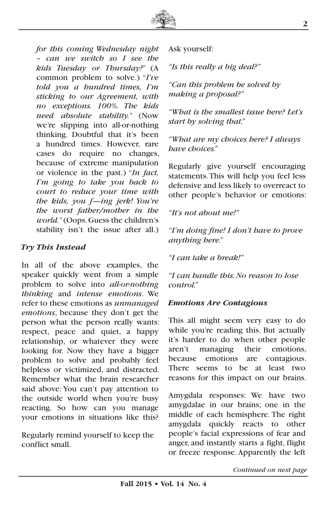

*for this coming Wednesday night – can we switch so I see the kids Tuesday or Thursday?*" (A common problem to solve.) "*I've told you a hundred times, I'm sticking to our Agreement, with no exceptions. 100%. The kids need absolute stability.*" (Now we're slipping into all-or-nothing thinking. Doubtful that it's been a hundred times. However, rare cases do require no changes, because of extreme manipulation or violence in the past.) "*In fact, I'm going to take you back to court to reduce your time with the kids, you f—ing jerk! You're the worst father/mother in the world.*" (Oops. Guess the children's stability isn't the issue after all.)

#### *Try This Instead*

In all of the above examples, the speaker quickly went from a simple problem to solve into *all-or-nothing thinking* and *intense emotions*. We refer to these emotions as *unmanaged emotions*, because they don't get the person what the person really wants: respect, peace and quiet, a happy relationship, or whatever they were looking for. Now they have a bigger problem to solve and probably feel helpless or victimized, and distracted. Remember what the brain researcher said above: You can't pay attention to the outside world when you're busy reacting. So how can you manage your emotions in situations like this?

Regularly remind yourself to keep the conflict small.

Ask yourself:

*"Is this really a big deal?"*

*"Can this problem be solved by making a proposal?"*

*"What is the smallest issue here? Let's start by solving that."*

*"What are my choices here? I always have choices."*

Regularly give yourself encouraging statements. This will help you feel less defensive and less likely to overreact to other people's behavior or emotions:

*"It's not about me!"*

*"I'm doing fine! I don't have to prove anything here."*

*"I can take a break!"*

*"I can handle this. No reason to lose control."*

#### *Emotions Are Contagious*

This all might seem very easy to do while you're reading this. But actually it's harder to do when other people aren't managing their emotions, because emotions are contagious. There seems to be at least two reasons for this impact on our brains.

Amygdala responses: We have two amygdalae in our brains; one in the middle of each hemisphere. The right amygdala quickly reacts to other people's facial expressions of fear and anger, and instantly starts a fight, flight or freeze response. Apparently the left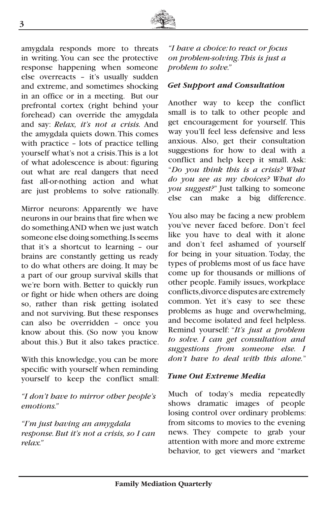

amygdala responds more to threats in writing. You can see the protective response happening when someone else overreacts – it's usually sudden and extreme, and sometimes shocking in an office or in a meeting. But our prefrontal cortex (right behind your forehead) can override the amygdala and say: *Relax, it's not a crisis.* And the amygdala quiets down. This comes with practice – lots of practice telling yourself what's not a crisis. This is a lot of what adolescence is about: figuring out what are real dangers that need fast all-or-nothing action and what are just problems to solve rationally.

Mirror neurons: Apparently we have neurons in our brains that fire when we do something AND when we just watch someone else doing something. Is seems that it's a shortcut to learning – our brains are constantly getting us ready to do what others are doing. It may be a part of our group survival skills that we're born with. Better to quickly run or fight or hide when others are doing so, rather than risk getting isolated and not surviving. But these responses can also be overridden – once you know about this. (So now you know about this.) But it also takes practice.

With this knowledge, you can be more specific with yourself when reminding yourself to keep the conflict small:

*"I don't have to mirror other people's emotions."*

*"I'm just having an amygdala response. But it's not a crisis, so I can relax."*

*"I have a choice: to react or focus on problem-solving. This is just a problem to solve."*

#### *Get Support and Consultation*

Another way to keep the conflict small is to talk to other people and get encouragement for yourself. This way you'll feel less defensive and less anxious. Also, get their consultation suggestions for how to deal with a conflict and help keep it small. Ask: "*Do you think this is a crisis? What do you see as my choices? What do you suggest?*" Just talking to someone else can make a big difference.

You also may be facing a new problem you've never faced before. Don't feel like you have to deal with it alone and don't feel ashamed of yourself for being in your situation. Today, the types of problems most of us face have come up for thousands or millions of other people. Family issues, workplace conflicts, divorce disputes are extremely common. Yet it's easy to see these problems as huge and overwhelming, and become isolated and feel helpless. Remind yourself: "*It's just a problem to solve. I can get consultation and suggestions from someone else. I don't have to deal with this alone.*"

#### *Tune Out Extreme Media*

Much of today's media repeatedly shows dramatic images of people losing control over ordinary problems: from sitcoms to movies to the evening news. They compete to grab your attention with more and more extreme behavior, to get viewers and "market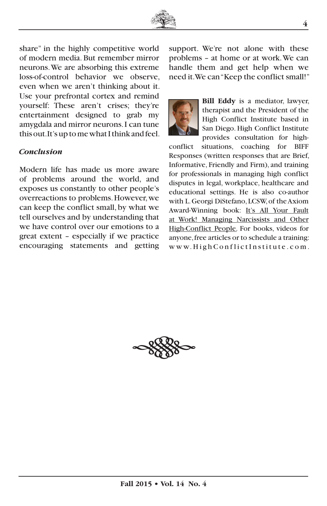

share" in the highly competitive world of modern media. But remember mirror neurons. We are absorbing this extreme loss-of-control behavior we observe, even when we aren't thinking about it. Use your prefrontal cortex and remind yourself: These aren't crises; they're entertainment designed to grab my amygdala and mirror neurons. I can tune this out. It's up to me what I think and feel.

#### *Conclusion*

Modern life has made us more aware of problems around the world, and exposes us constantly to other people's overreactions to problems. However, we can keep the conflict small, by what we tell ourselves and by understanding that we have control over our emotions to a great extent – especially if we practice encouraging statements and getting

support. We're not alone with these problems – at home or at work. We can handle them and get help when we need it. We can "Keep the conflict small!"



**Bill Eddy** is a mediator, lawyer, therapist and the President of the High Conflict Institute based in San Diego. High Conflict Institute provides consultation for high-

conflict situations, coaching for BIFF Responses (written responses that are Brief, Informative, Friendly and Firm), and training for professionals in managing high conflict disputes in legal, workplace, healthcare and educational settings. He is also co-author with L. Georgi DiStefano, LCSW, of the Axiom Award-Winning book: It's All Your Fault at Work! Managing Narcissists and Other High-Conflict People. For books, videos for anyone, free articles or to schedule a training: www.HighConf lictInstitute.com.

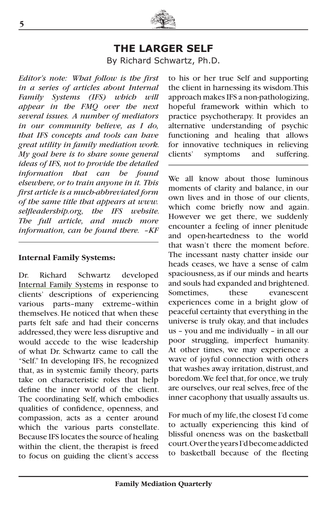

## **THE LARGER SELF**

By Richard Schwartz, Ph.D.

*Editor's note: What follow is the first in a series of articles about Internal Family Systems (IFS) which will appear in the FMQ over the next several issues. A number of mediators in our community believe, as I do, that IFS concepts and tools can have great utility in family mediation work. My goal here is to share some general ideas of IFS, not to provide the detailed information that can be found elsewhere, or to train anyone in it. This first article is a much-abbreviated form of the same title that appears at www. selfleadership.org, the IFS website. The full article, and much more information, can be found there. –KF*

#### **Internal Family Systems:**

Dr. Richard Schwartz developed Internal Family Systems in response to clients' descriptions of experiencing various parts–many extreme–within themselves. He noticed that when these parts felt safe and had their concerns addressed, they were less disruptive and would accede to the wise leadership of what Dr. Schwartz came to call the "Self." In developing IFS, he recognized that, as in systemic family theory, parts take on characteristic roles that help define the inner world of the client. The coordinating Self, which embodies qualities of confidence, openness, and compassion, acts as a center around which the various parts constellate. Because IFS locates the source of healing within the client, the therapist is freed to focus on guiding the client's access

to his or her true Self and supporting the client in harnessing its wisdom. This approach makes IFS a non-pathologizing, hopeful framework within which to practice psychotherapy. It provides an alternative understanding of psychic functioning and healing that allows for innovative techniques in relieving clients' symptoms and suffering.

We all know about those luminous moments of clarity and balance, in our own lives and in those of our clients, which come briefly now and again. However we get there, we suddenly encounter a feeling of inner plenitude and open-heartedness to the world that wasn't there the moment before. The incessant nasty chatter inside our heads ceases, we have a sense of calm spaciousness, as if our minds and hearts and souls had expanded and brightened. Sometimes, these evanescent experiences come in a bright glow of peaceful certainty that everything in the universe is truly okay, and that includes us – you and me individually – in all our poor struggling, imperfect humanity. At other times, we may experience a wave of joyful connection with others that washes away irritation, distrust, and boredom. We feel that, for once, we truly are ourselves, our real selves, free of the inner cacophony that usually assaults us.

For much of my life, the closest I'd come to actually experiencing this kind of blissful oneness was on the basketball court. Over the years I'd become addicted to basketball because of the fleeting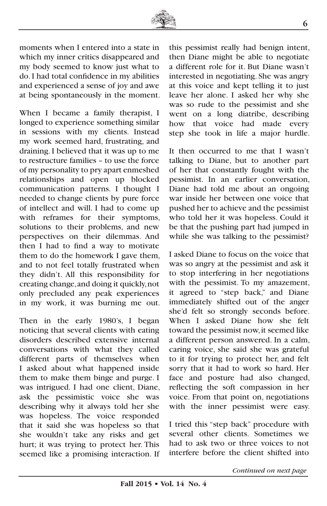

moments when I entered into a state in which my inner critics disappeared and my body seemed to know just what to do. I had total confidence in my abilities and experienced a sense of joy and awe at being spontaneously in the moment.

When I became a family therapist, I longed to experience something similar in sessions with my clients. Instead my work seemed hard, frustrating, and draining. I believed that it was up to me to restructure families – to use the force of my personality to pry apart enmeshed relationships and open up blocked communication patterns. I thought I needed to change clients by pure force of intellect and will. I had to come up with reframes for their symptoms, solutions to their problems, and new perspectives on their dilemmas. And then I had to find a way to motivate them to do the homework I gave them, and to not feel totally frustrated when they didn't. All this responsibility for creating change, and doing it quickly, not only precluded any peak experiences in my work, it was burning me out.

Then in the early 1980's, I began noticing that several clients with eating disorders described extensive internal conversations with what they called different parts of themselves when I asked about what happened inside them to make them binge and purge. I was intrigued. I had one client, Diane, ask the pessimistic voice she was describing why it always told her she was hopeless. The voice responded that it said she was hopeless so that she wouldn't take any risks and get hurt; it was trying to protect her. This seemed like a promising interaction. If this pessimist really had benign intent, then Diane might be able to negotiate a different role for it. But Diane wasn't interested in negotiating. She was angry at this voice and kept telling it to just leave her alone. I asked her why she was so rude to the pessimist and she went on a long diatribe, describing how that voice had made every step she took in life a major hurdle.

It then occurred to me that I wasn't talking to Diane, but to another part of her that constantly fought with the pessimist. In an earlier conversation, Diane had told me about an ongoing war inside her between one voice that pushed her to achieve and the pessimist who told her it was hopeless. Could it be that the pushing part had jumped in while she was talking to the pessimist?

I asked Diane to focus on the voice that was so angry at the pessimist and ask it to stop interfering in her negotiations with the pessimist. To my amazement, it agreed to "step back," and Diane immediately shifted out of the anger she'd felt so strongly seconds before. When I asked Diane how she felt toward the pessimist now, it seemed like a different person answered. In a calm, caring voice, she said she was grateful to it for trying to protect her, and felt sorry that it had to work so hard. Her face and posture had also changed, reflecting the soft compassion in her voice. From that point on, negotiations with the inner pessimist were easy.

I tried this "step back" procedure with several other clients. Sometimes we had to ask two or three voices to not interfere before the client shifted into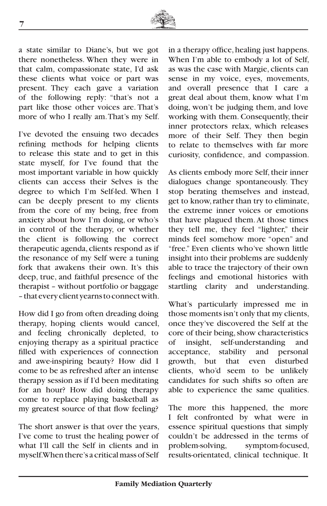

a state similar to Diane's, but we got there nonetheless. When they were in that calm, compassionate state, I'd ask these clients what voice or part was present. They each gave a variation of the following reply: "that's not a part like those other voices are. That's more of who I really am. That's my Self.

I've devoted the ensuing two decades refining methods for helping clients to release this state and to get in this state myself, for I've found that the most important variable in how quickly clients can access their Selves is the degree to which I'm Self-led. When I can be deeply present to my clients from the core of my being, free from anxiety about how I'm doing, or who's in control of the therapy, or whether the client is following the correct therapeutic agenda, clients respond as if the resonance of my Self were a tuning fork that awakens their own. It's this deep, true, and faithful presence of the therapist – without portfolio or baggage – that every client yearns to connect with.

How did I go from often dreading doing therapy, hoping clients would cancel, and feeling chronically depleted, to enjoying therapy as a spiritual practice filled with experiences of connection and awe-inspiring beauty? How did I come to be as refreshed after an intense therapy session as if I'd been meditating for an hour? How did doing therapy come to replace playing basketball as my greatest source of that flow feeling?

The short answer is that over the years, I've come to trust the healing power of what I'll call the Self in clients and in myself. When there's a critical mass of Self

in a therapy office, healing just happens. When I'm able to embody a lot of Self, as was the case with Margie, clients can sense in my voice, eyes, movements, and overall presence that I care a great deal about them, know what I'm doing, won't be judging them, and love working with them. Consequently, their inner protectors relax, which releases more of their Self. They then begin to relate to themselves with far more curiosity, confidence, and compassion.

As clients embody more Self, their inner dialogues change spontaneously. They stop berating themselves and instead, get to know, rather than try to eliminate, the extreme inner voices or emotions that have plagued them. At those times they tell me, they feel "lighter," their minds feel somehow more "open" and "free." Even clients who've shown little insight into their problems are suddenly able to trace the trajectory of their own feelings and emotional histories with startling clarity and understanding.

What's particularly impressed me in those moments isn't only that my clients, once they've discovered the Self at the core of their being, show characteristics of insight, self-understanding and acceptance, stability and personal growth, but that even disturbed clients, who'd seem to be unlikely candidates for such shifts so often are able to experience the same qualities.

The more this happened, the more I felt confronted by what were in essence spiritual questions that simply couldn't be addressed in the terms of<br>problem-solving, symptom-focused, symptom-focused, results-orientated, clinical technique. It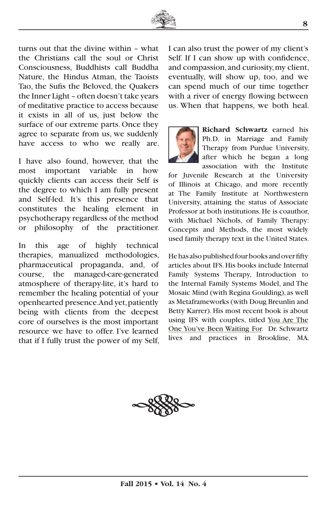

turns out that the divine within – what the Christians call the soul or Christ Consciousness, Buddhists call Buddha Nature, the Hindus Atman, the Taoists Tao, the Sufis the Beloved, the Quakers the Inner Light – often doesn't take years of meditative practice to access because it exists in all of us, just below the surface of our extreme parts. Once they agree to separate from us, we suddenly have access to who we really are.

I have also found, however, that the most important variable in how quickly clients can access their Self is the degree to which I am fully present and Self-led. It's this presence that constitutes the healing element in psychotherapy regardless of the method or philosophy of the practitioner.

In this age of highly technical therapies, manualized methodologies, pharmaceutical propaganda, and, of course, the managed-care-generated atmosphere of therapy-lite, it's hard to remember the healing potential of your openhearted presence. And yet, patiently being with clients from the deepest core of ourselves is the most important resource we have to offer. I've learned that if I fully trust the power of my Self, I can also trust the power of my client's Self. If I can show up with confidence, and compassion, and curiosity, my client, eventually, will show up, too, and we can spend much of our time together with a river of energy flowing between us. When that happens, we both heal.



**Richard Schwartz** earned his Ph.D. in Marriage and Family Therapy from Purdue University, after which he began a long association with the Institute

for Juvenile Research at the University of Illinois at Chicago, and more recently at The Family Institute at Northwestern University, attaining the status of Associate Professor at both institutions. He is coauthor, with Michael Nichols, of Family Therapy: Concepts and Methods, the most widely used family therapy text in the United States.

He has also published four books and over fifty articles about IFS. His books include Internal Family Systems Therapy, Introduction to the Internal Family Systems Model, and The Mosaic Mind (with Regina Goulding), as well as Metaframeworks (with Doug Breunlin and Betty Karrer). His most recent book is about using IFS with couples, titled You Are The One You've Been Waiting For. Dr. Schwartz lives and practices in Brookline, MA*.*

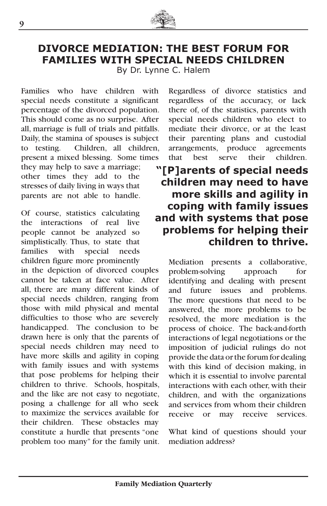

## **DIVORCE MEDIATION: THE BEST FORUM FOR FAMILIES WITH SPECIAL NEEDS CHILDREN**

By Dr. Lynne C. Halem

Families who have children with special needs constitute a significant percentage of the divorced population. This should come as no surprise. After all, marriage is full of trials and pitfalls. Daily, the stamina of spouses is subject to testing. Children, all children, present a mixed blessing. Some times they may help to save a marriage; other times they add to the stresses of daily living in ways that parents are not able to handle.

Of course, statistics calculating the interactions of real live people cannot be analyzed so simplistically. Thus, to state that families with special needs children figure more prominently

in the depiction of divorced couples cannot be taken at face value. After all, there are many different kinds of special needs children, ranging from those with mild physical and mental difficulties to those who are severely handicapped. The conclusion to be drawn here is only that the parents of special needs children may need to have more skills and agility in coping with family issues and with systems that pose problems for helping their children to thrive. Schools, hospitals, and the like are not easy to negotiate, posing a challenge for all who seek to maximize the services available for their children. These obstacles may constitute a hurdle that presents "one problem too many" for the family unit.

Regardless of divorce statistics and regardless of the accuracy, or lack there of, of the statistics, parents with special needs children who elect to mediate their divorce, or at the least their parenting plans and custodial arrangements, produce agreements that best serve their children.

## **"[P]arents of special needs children may need to have more skills and agility in coping with family issues and with systems that pose problems for helping their children to thrive.**

Mediation presents a collaborative,<br>problem-solving approach for problem-solving approach for identifying and dealing with present and future issues and problems. The more questions that need to be answered, the more problems to be resolved, the more mediation is the process of choice. The back-and-forth interactions of legal negotiations or the imposition of judicial rulings do not provide the data or the forum for dealing with this kind of decision making, in which it is essential to involve parental interactions with each other, with their children, and with the organizations and services from whom their children receive or may receive services.

What kind of questions should your mediation address?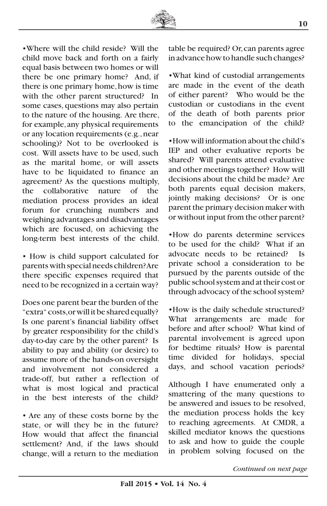

•Where will the child reside? Will the child move back and forth on a fairly equal basis between two homes or will there be one primary home? And, if there is one primary home, how is time with the other parent structured? In some cases, questions may also pertain to the nature of the housing. Are there, for example, any physical requirements or any location requirements (e.g., near schooling)? Not to be overlooked is cost. Will assets have to be used, such as the marital home, or will assets have to be liquidated to finance an agreement? As the questions multiply, the collaborative nature of the mediation process provides an ideal forum for crunching numbers and weighing advantages and disadvantages which are focused, on achieving the long-term best interests of the child.

• How is child support calculated for parents with special needs children? Are there specific expenses required that need to be recognized in a certain way?

Does one parent bear the burden of the "extra" costs, or will it be shared equally? Is one parent's financial liability offset by greater responsibility for the child's day-to-day care by the other parent? Is ability to pay and ability (or desire) to assume more of the hands-on oversight and involvement not considered a trade-off, but rather a reflection of what is most logical and practical in the best interests of the child?

• Are any of these costs borne by the state, or will they be in the future? How would that affect the financial settlement? And, if the laws should change, will a return to the mediation table be required? Or, can parents agree in advance how to handle such changes?

•What kind of custodial arrangements are made in the event of the death of either parent? Who would be the custodian or custodians in the event of the death of both parents prior to the emancipation of the child?

•How will information about the child's IEP and other evaluative reports be shared? Will parents attend evaluative and other meetings together? How will decisions about the child be made? Are both parents equal decision makers, jointly making decisions? Or is one parent the primary decision maker with or without input from the other parent?

•How do parents determine services to be used for the child? What if an advocate needs to be retained? Is private school a consideration to be pursued by the parents outside of the public school system and at their cost or through advocacy of the school system?

•How is the daily schedule structured? What arrangements are made for before and after school? What kind of parental involvement is agreed upon for bedtime rituals? How is parental time divided for holidays, special days, and school vacation periods?

Although I have enumerated only a smattering of the many questions to be answered and issues to be resolved, the mediation process holds the key to reaching agreements. At CMDR, a skilled mediator knows the questions to ask and how to guide the couple in problem solving focused on the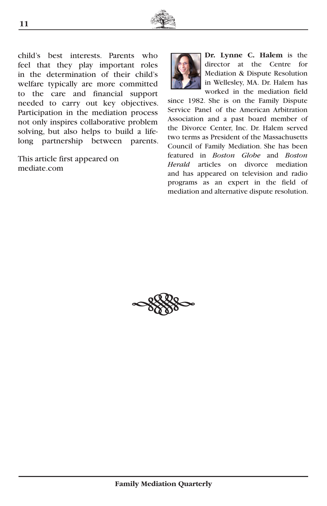

child's best interests. Parents who feel that they play important roles in the determination of their child's welfare typically are more committed to the care and financial support needed to carry out key objectives. Participation in the mediation process not only inspires collaborative problem solving, but also helps to build a lifelong partnership between parents.

This article first appeared on mediate.com



**Dr. Lynne C. Halem** is the director at the Centre for Mediation & Dispute Resolution in Wellesley, MA. Dr. Halem has worked in the mediation field

since 1982. She is on the Family Dispute Service Panel of the American Arbitration Association and a past board member of the Divorce Center, Inc. Dr. Halem served two terms as President of the Massachusetts Council of Family Mediation. She has been featured in *Boston Globe* and *Boston Herald* articles on divorce mediation and has appeared on television and radio programs as an expert in the field of mediation and alternative dispute resolution.

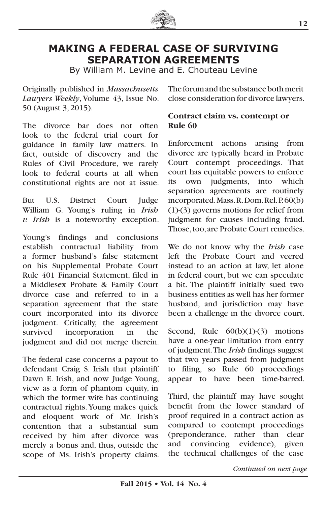

## **MAKING A FEDERAL CASE OF SURVIVING SEPARATION AGREEMENTS**

By William M. Levine and E. Chouteau Levine

Originally published in *Massachusetts Lawyers Weekly*, Volume 43, Issue No. 50 (August 3, 2015).

The divorce bar does not often look to the federal trial court for guidance in family law matters. In fact, outside of discovery and the Rules of Civil Procedure, we rarely look to federal courts at all when constitutional rights are not at issue.

But U.S. District Court Judge William G. Young's ruling in *Irish v. Irish* is a noteworthy exception.

Young's findings and conclusions establish contractual liability from a former husband's false statement on his Supplemental Probate Court Rule 401 Financial Statement, filed in a Middlesex Probate & Family Court divorce case and referred to in a separation agreement that the state court incorporated into its divorce judgment. Critically, the agreement survived incorporation in the judgment and did not merge therein.

The federal case concerns a payout to defendant Craig S. Irish that plaintiff Dawn E. Irish, and now Judge Young, view as a form of phantom equity, in which the former wife has continuing contractual rights. Young makes quick and eloquent work of Mr. Irish's contention that a substantial sum received by him after divorce was merely a bonus and, thus, outside the scope of Ms. Irish's property claims. The forum and the substance both merit close consideration for divorce lawyers.

#### **Contract claim vs. contempt or Rule 60**

Enforcement actions arising from divorce are typically heard in Probate Court contempt proceedings. That court has equitable powers to enforce its own judgments, into which separation agreements are routinely incorporated. Mass. R. Dom. Rel. P. 60(b) (1)-(3) governs motions for relief from judgment for causes including fraud. Those, too, are Probate Court remedies.

We do not know why the *Irish* case left the Probate Court and veered instead to an action at law, let alone in federal court, but we can speculate a bit. The plaintiff initially sued two business entities as well has her former husband, and jurisdiction may have been a challenge in the divorce court.

Second, Rule  $60(b)(1)-(3)$  motions have a one-year limitation from entry of judgment. The *Irish* findings suggest that two years passed from judgment to filing, so Rule 60 proceedings appear to have been time-barred.

Third, the plaintiff may have sought benefit from the lower standard of proof required in a contract action as compared to contempt proceedings (preponderance, rather than clear and convincing evidence), given the technical challenges of the case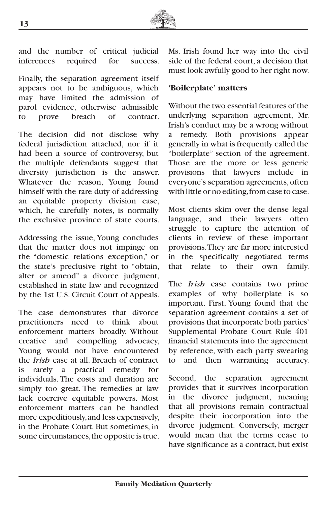

and the number of critical judicial inferences required for success.

Finally, the separation agreement itself appears not to be ambiguous, which may have limited the admission of parol evidence, otherwise admissible to prove breach of contract.

The decision did not disclose why federal jurisdiction attached, nor if it had been a source of controversy, but the multiple defendants suggest that diversity jurisdiction is the answer. Whatever the reason, Young found himself with the rare duty of addressing an equitable property division case, which, he carefully notes, is normally the exclusive province of state courts.

Addressing the issue, Young concludes that the matter does not impinge on the "domestic relations exception," or the state's preclusive right to "obtain, alter or amend" a divorce judgment, established in state law and recognized by the 1st U.S. Circuit Court of Appeals.

The case demonstrates that divorce practitioners need to think about enforcement matters broadly. Without creative and compelling advocacy, Young would not have encountered the *Irish* case at all. Breach of contract is rarely a practical remedy for individuals. The costs and duration are simply too great. The remedies at law lack coercive equitable powers. Most enforcement matters can be handled more expeditiously, and less expensively, in the Probate Court. But sometimes, in some circumstances, the opposite is true. Ms. Irish found her way into the civil side of the federal court, a decision that must look awfully good to her right now.

#### **'Boilerplate' matters**

Without the two essential features of the underlying separation agreement, Mr. Irish's conduct may be a wrong without a remedy. Both provisions appear generally in what is frequently called the "boilerplate" section of the agreement. Those are the more or less generic provisions that lawyers include in everyone's separation agreements, often with little or no editing, from case to case.

Most clients skim over the dense legal language, and their lawyers often struggle to capture the attention of clients in review of these important provisions. They are far more interested in the specifically negotiated terms that relate to their own family.

The *Irish* case contains two prime examples of why boilerplate is so important. First, Young found that the separation agreement contains a set of provisions that incorporate both parties' Supplemental Probate Court Rule 401 financial statements into the agreement by reference, with each party swearing to and then warranting accuracy.

Second, the separation agreement provides that it survives incorporation in the divorce judgment, meaning that all provisions remain contractual despite their incorporation into the divorce judgment. Conversely, merger would mean that the terms cease to have significance as a contract, but exist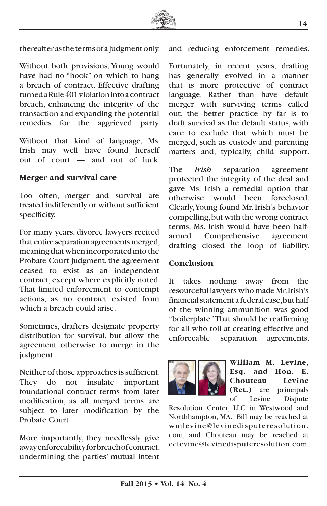

thereafter as the terms of a judgment only.

Without both provisions, Young would have had no "hook" on which to hang a breach of contract. Effective drafting turned a Rule 401 violation into a contract breach, enhancing the integrity of the transaction and expanding the potential remedies for the aggrieved party.

Without that kind of language, Ms. Irish may well have found herself out of court — and out of luck.

#### **Merger and survival care**

Too often, merger and survival are treated indifferently or without sufficient specificity.

For many years, divorce lawyers recited that entire separation agreements merged, meaning that when incorporated into the Probate Court judgment, the agreement ceased to exist as an independent contract, except where explicitly noted. That limited enforcement to contempt actions, as no contract existed from which a breach could arise.

Sometimes, drafters designate property distribution for survival, but allow the agreement otherwise to merge in the judgment.

Neither of those approaches is sufficient. They do not insulate important foundational contract terms from later modification, as all merged terms are subject to later modification by the Probate Court.

More importantly, they needlessly give away enforceability for breach of contract, undermining the parties' mutual intent

and reducing enforcement remedies.

Fortunately, in recent years, drafting has generally evolved in a manner that is more protective of contract language. Rather than have default merger with surviving terms called out, the better practice by far is to draft survival as the default status, with care to exclude that which must be merged, such as custody and parenting matters and, typically, child support.

The *Irish* separation agreement protected the integrity of the deal and gave Ms. Irish a remedial option that otherwise would been foreclosed. Clearly, Young found Mr. Irish's behavior compelling, but with the wrong contract terms, Ms. Irish would have been halfarmed. Comprehensive agreement drafting closed the loop of liability.

#### **Conclusion**

It takes nothing away from the resourceful lawyers who made Mr. Irish's financial statement a federal case, but half of the winning ammunition was good "boilerplate." That should be reaffirming for all who toil at creating effective and enforceable separation agreements.



**William M. Levine, Esq. and Hon. E. Chouteau Levine (Ret.)** are principals of Levine Dispute

Resolution Center, LLC in Westwood and Northhampton, MA. Bill may be reached at wmlevine@levinedisputeresolution. com; and Chouteau may be reached at eclevine@levinedisputeresolution.com.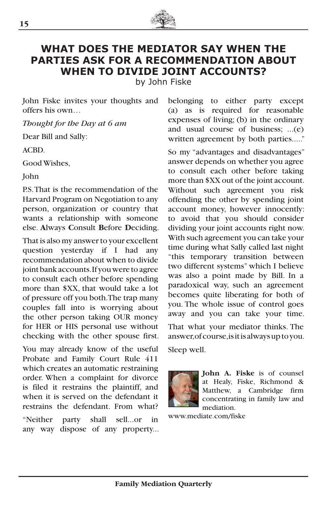

## **WHAT DOES THE MEDIATOR SAY WHEN THE PARTIES ASK FOR A RECOMMENDATION ABOUT WHEN TO DIVIDE JOINT ACCOUNTS?**

by John Fiske

John Fiske invites your thoughts and offers his own…

*Thought for the Day at 6 am*

Dear Bill and Sally:

ACBD.

Good Wishes,

John

P.S. That is the recommendation of the Harvard Program on Negotiation to any person, organization or country that wants a relationship with someone else. **A**lways **C**onsult **B**efore **D**eciding.

That is also my answer to your excellent question yesterday if I had any recommendation about when to divide joint bank accounts. If you were to agree to consult each other before spending more than \$XX, that would take a lot of pressure off you both. The trap many couples fall into is worrying about the other person taking OUR money for HER or HIS personal use without checking with the other spouse first.

You may already know of the useful Probate and Family Court Rule 411 which creates an automatic restraining order. When a complaint for divorce is filed it restrains the plaintiff, and when it is served on the defendant it restrains the defendant. From what?

"Neither party shall sell...or in any way dispose of any property... belonging to either party except (a) as is required for reasonable expenses of living; (b) in the ordinary and usual course of business; ...(e) written agreement by both parties....."

So my "advantages and disadvantages" answer depends on whether you agree to consult each other before taking more than \$XX out of the joint account. Without such agreement you risk offending the other by spending joint account money, however innocently: to avoid that you should consider dividing your joint accounts right now. With such agreement you can take your time during what Sally called last night "this temporary transition between two different systems" which I believe was also a point made by Bill. In a paradoxical way, such an agreement becomes quite liberating for both of you. The whole issue of control goes away and you can take your time. That what your mediator thinks. The answer, of course, is it is always up to you.

Sleep well.



**John A. Fiske** is of counsel at Healy, Fiske, Richmond & Matthew, a Cambridge firm concentrating in family law and mediation.

www.mediate.com/fiske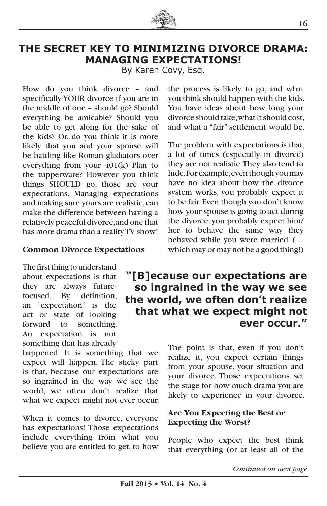

## **THE SECRET KEY TO MINIMIZING DIVORCE DRAMA: MANAGING EXPECTATIONS!**

By Karen Covy, Esq.

How do you think divorce – and specifically YOUR divorce if you are in the middle of one – should go? Should everything be amicable? Should you be able to get along for the sake of the kids? Or, do you think it is more likely that you and your spouse will be battling like Roman gladiators over everything from your 401(k) Plan to the tupperware? However you think things SHOULD go, those are your expectations. Managing expectations and making sure yours are realistic, can make the difference between having a relatively peaceful divorce, and one that has more drama than a reality TV show!

#### **Common Divorce Expectations**

The first thing to understand about expectations is that they are always futurefocused. By definition, an "expectation" is the act or state of looking forward to something. An expectation is not something that has already

happened. It is something that we expect will happen. The sticky part is that, because our expectations are so ingrained in the way we see the world, we often don't realize that what we expect might not ever occur.

When it comes to divorce, everyone has expectations! Those expectations include everything from what you believe you are entitled to get, to how the process is likely to go, and what you think should happen with the kids. You have ideas about how long your divorce should take, what it should cost, and what a "fair" settlement would be.

The problem with expectations is that, a lot of times (especially in divorce) they are not realistic. They also tend to hide. For example, even though you may have no idea about how the divorce system works, you probably expect it to be fair. Even though you don't know how your spouse is going to act during the divorce, you probably expect him/ her to behave the same way they behaved while you were married. (… which may or may not be a good thing!)

## **"[B]ecause our expectations are so ingrained in the way we see the world, we often don't realize that what we expect might not ever occur."**

The point is that, even if you don't realize it, you expect certain things from your spouse, your situation and your divorce. Those expectations set the stage for how much drama you are likely to experience in your divorce.

#### **Are You Expecting the Best or Expecting the Worst?**

People who expect the best think that everything (or at least all of the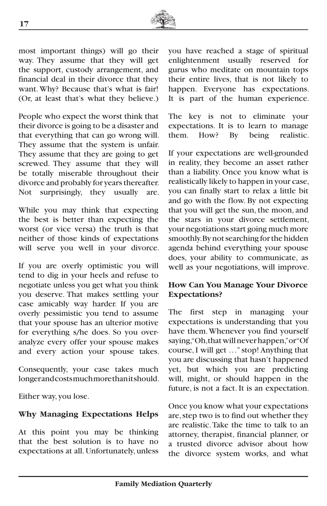

most important things) will go their way. They assume that they will get the support, custody arrangement, and financial deal in their divorce that they want. Why? Because that's what is fair! (Or, at least that's what they believe.)

People who expect the worst think that their divorce is going to be a disaster and that everything that can go wrong will. They assume that the system is unfair. They assume that they are going to get screwed. They assume that they will be totally miserable throughout their divorce and probably for years thereafter. Not surprisingly, they usually are.

While you may think that expecting the best is better than expecting the worst (or vice versa) the truth is that neither of those kinds of expectations will serve you well in your divorce.

If you are overly optimistic you will tend to dig in your heels and refuse to negotiate unless you get what you think you deserve. That makes settling your case amicably way harder. If you are overly pessimistic you tend to assume that your spouse has an ulterior motive for everything s/he does. So you overanalyze every offer your spouse makes and every action your spouse takes.

Consequently, your case takes much longer and costs much more than it should.

Either way, you lose.

#### **Why Managing Expectations Helps**

At this point you may be thinking that the best solution is to have no expectations at all. Unfortunately, unless

you have reached a stage of spiritual enlightenment usually reserved for gurus who meditate on mountain tops their entire lives, that is not likely to happen. Everyone has expectations. It is part of the human experience.

The key is not to eliminate your expectations. It is to learn to manage them. How? By being realistic.

If your expectations are well-grounded in reality, they become an asset rather than a liability. Once you know what is realistically likely to happen in your case, you can finally start to relax a little bit and go with the flow. By not expecting that you will get the sun, the moon, and the stars in your divorce settlement, your negotiations start going much more smoothly. By not searching for the hidden agenda behind everything your spouse does, your ability to communicate, as well as your negotiations, will improve.

#### **How Can You Manage Your Divorce Expectations?**

The first step in managing your expectations is understanding that you have them. Whenever you find yourself saying, "Oh, that will never happen," or "Of course, I will get …" stop! Anything that you are discussing that hasn't happened yet, but which you are predicting will, might, or should happen in the future, is not a fact. It is an expectation.

Once you know what your expectations are, step two is to find out whether they are realistic. Take the time to talk to an attorney, therapist, financial planner, or a trusted divorce advisor about how the divorce system works, and what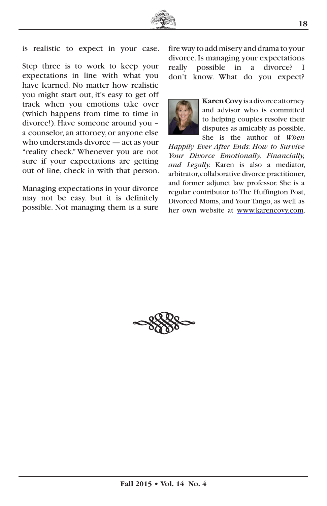

is realistic to expect in your case.

Step three is to work to keep your expectations in line with what you have learned. No matter how realistic you might start out, it's easy to get off track when you emotions take over (which happens from time to time in divorce!). Have someone around you – a counselor, an attorney, or anyone else who understands divorce — act as your "reality check." Whenever you are not sure if your expectations are getting out of line, check in with that person.

Managing expectations in your divorce may not be easy. but it is definitely possible. Not managing them is a sure fire way to add misery and drama to your divorce. Is managing your expectations really possible in a divorce? I don't know. What do you expect?



**Karen Covy** is a divorce attorney and advisor who is committed to helping couples resolve their disputes as amicably as possible. She is the author of *When* 

*Happily Ever After Ends: How to Survive Your Divorce Emotionally, Financially, and Legally.* Karen is also a mediator, arbitrator, collaborative divorce practitioner, and former adjunct law professor. She is a regular contributor to The Huffington Post, Divorced Moms, and Your Tango, as well as her own website at www.karencovy.com.

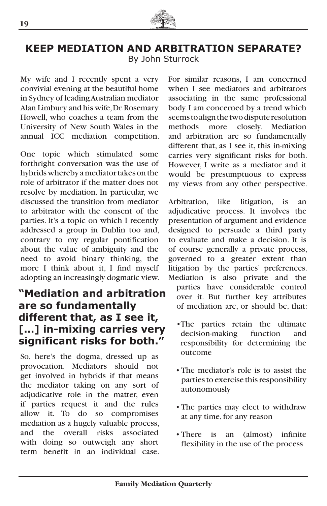

#### **KEEP MEDIATION AND ARBITRATION SEPARATE?** By John Sturrock

My wife and I recently spent a very convivial evening at the beautiful home in Sydney of leading Australian mediator Alan Limbury and his wife, Dr. Rosemary Howell, who coaches a team from the University of New South Wales in the annual ICC mediation competition.

One topic which stimulated some forthright conversation was the use of hybrids whereby a mediator takes on the role of arbitrator if the matter does not resolve by mediation. In particular, we discussed the transition from mediator to arbitrator with the consent of the parties. It's a topic on which I recently addressed a group in Dublin too and, contrary to my regular pontification about the value of ambiguity and the need to avoid binary thinking, the more I think about it, I find myself adopting an increasingly dogmatic view.

## **"Mediation and arbitration are so fundamentally different that, as I see it, […] in-mixing carries very significant risks for both."**

So, here's the dogma, dressed up as provocation. Mediators should not get involved in hybrids if that means the mediator taking on any sort of adjudicative role in the matter, even if parties request it and the rules allow it. To do so compromises mediation as a hugely valuable process, and the overall risks associated with doing so outweigh any short term benefit in an individual case.

For similar reasons, I am concerned when I see mediators and arbitrators associating in the same professional body. I am concerned by a trend which seems to align the two dispute resolution methods more closely. Mediation and arbitration are so fundamentally different that, as I see it, this in-mixing carries very significant risks for both. However, I write as a mediator and it would be presumptuous to express my views from any other perspective.

Arbitration, like litigation, is an adjudicative process. It involves the presentation of argument and evidence designed to persuade a third party to evaluate and make a decision. It is of course generally a private process, governed to a greater extent than litigation by the parties' preferences. Mediation is also private and the

parties have considerable control over it. But further key attributes of mediation are, or should be, that:

- •The parties retain the ultimate decision-making function and responsibility for determining the outcome
- The mediator's role is to assist the parties to exercise this responsibility autonomously
- The parties may elect to withdraw at any time, for any reason
- There is an (almost) infinite flexibility in the use of the process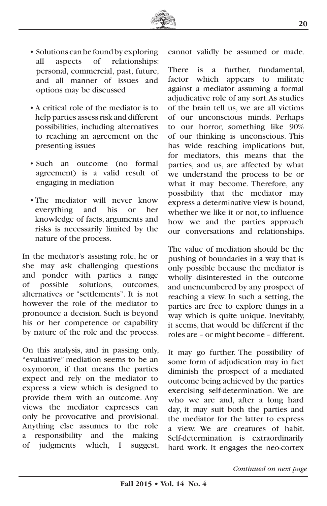

- Solutions can be found by exploring all aspects of relationships: personal, commercial, past, future, and all manner of issues and options may be discussed
- A critical role of the mediator is to help parties assess risk and different possibilities, including alternatives to reaching an agreement on the presenting issues
- Such an outcome (no formal agreement) is a valid result of engaging in mediation
- The mediator will never know everything and his or her knowledge of facts, arguments and risks is necessarily limited by the nature of the process.

In the mediator's assisting role, he or she may ask challenging questions and ponder with parties a range of possible solutions, outcomes, alternatives or "settlements". It is not however the role of the mediator to pronounce a decision. Such is beyond his or her competence or capability by nature of the role and the process.

On this analysis, and in passing only, "evaluative" mediation seems to be an oxymoron, if that means the parties expect and rely on the mediator to express a view which is designed to provide them with an outcome. Any views the mediator expresses can only be provocative and provisional. Anything else assumes to the role a responsibility and the making of judgments which, I suggest, cannot validly be assumed or made.

There is a further, fundamental, factor which appears to militate against a mediator assuming a formal adjudicative role of any sort. As studies of the brain tell us, we are all victims of our unconscious minds. Perhaps to our horror, something like 90% of our thinking is unconscious. This has wide reaching implications but, for mediators, this means that the parties, and us, are affected by what we understand the process to be or what it may become. Therefore, any possibility that the mediator may express a determinative view is bound, whether we like it or not, to influence how we and the parties approach our conversations and relationships.

The value of mediation should be the pushing of boundaries in a way that is only possible because the mediator is wholly disinterested in the outcome and unencumbered by any prospect of reaching a view. In such a setting, the parties are free to explore things in a way which is quite unique. Inevitably, it seems, that would be different if the roles are – or might become – different.

It may go further. The possibility of some form of adjudication may in fact diminish the prospect of a mediated outcome being achieved by the parties exercising self-determination. We are who we are and, after a long hard day, it may suit both the parties and the mediator for the latter to express a view. We are creatures of habit. Self-determination is extraordinarily hard work. It engages the neo-cortex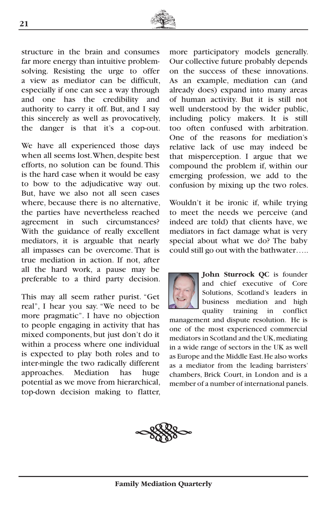

structure in the brain and consumes far more energy than intuitive problemsolving. Resisting the urge to offer a view as mediator can be difficult, especially if one can see a way through and one has the credibility and authority to carry it off. But, and I say this sincerely as well as provocatively, the danger is that it's a cop-out.

We have all experienced those days when all seems lost. When, despite best efforts, no solution can be found. This is the hard case when it would be easy to bow to the adjudicative way out. But, have we also not all seen cases where, because there is no alternative, the parties have nevertheless reached agreement in such circumstances? With the guidance of really excellent mediators, it is arguable that nearly all impasses can be overcome. That is true mediation in action. If not, after all the hard work, a pause may be preferable to a third party decision.

This may all seem rather purist. "Get real", I hear you say. "We need to be more pragmatic". I have no objection to people engaging in activity that has mixed components, but just don't do it within a process where one individual is expected to play both roles and to inter-mingle the two radically different approaches. Mediation has huge potential as we move from hierarchical, top-down decision making to flatter, more participatory models generally. Our collective future probably depends on the success of these innovations. As an example, mediation can (and already does) expand into many areas of human activity. But it is still not well understood by the wider public, including policy makers. It is still too often confused with arbitration. One of the reasons for mediation's relative lack of use may indeed be that misperception. I argue that we compound the problem if, within our emerging profession, we add to the confusion by mixing up the two roles.

Wouldn't it be ironic if, while trying to meet the needs we perceive (and indeed are told) that clients have, we mediators in fact damage what is very special about what we do? The baby could still go out with the bathwater…..



**John Sturrock QC** is founder and chief executive of Core Solutions, Scotland's leaders in business mediation and high quality training in conflict

management and dispute resolution. He is one of the most experienced commercial mediators in Scotland and the UK, mediating in a wide range of sectors in the UK as well as Europe and the Middle East. He also works as a mediator from the leading barristers' chambers, Brick Court, in London and is a member of a number of international panels.

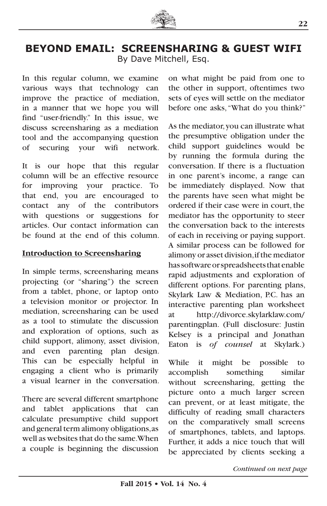

## **BEYOND EMAIL: SCREENSHARING & GUEST WIFI** By Dave Mitchell, Esq.

In this regular column, we examine various ways that technology can improve the practice of mediation, in a manner that we hope you will find "user-friendly." In this issue, we discuss screensharing as a mediation tool and the accompanying question of securing your wifi network.

It is our hope that this regular column will be an effective resource for improving your practice. To that end, you are encouraged to contact any of the contributors with questions or suggestions for articles. Our contact information can be found at the end of this column.

#### **Introduction to Screensharing**

In simple terms, screensharing means projecting (or "sharing") the screen from a tablet, phone, or laptop onto a television monitor or projector. In mediation, screensharing can be used as a tool to stimulate the discussion and exploration of options, such as child support, alimony, asset division, and even parenting plan design. This can be especially helpful in engaging a client who is primarily a visual learner in the conversation.

There are several different smartphone and tablet applications that can calculate presumptive child support and general term alimony obligations, as well as websites that do the same. When a couple is beginning the discussion

on what might be paid from one to the other in support, oftentimes two sets of eyes will settle on the mediator before one asks, "What do you think?"

As the mediator, you can illustrate what the presumptive obligation under the child support guidelines would be by running the formula during the conversation. If there is a fluctuation in one parent's income, a range can be immediately displayed. Now that the parents have seen what might be ordered if their case were in court, the mediator has the opportunity to steer the conversation back to the interests of each in receiving or paying support. A similar process can be followed for alimony or asset division, if the mediator has software or spreadsheets that enable rapid adjustments and exploration of different options. For parenting plans, Skylark Law & Mediation, P.C. has an interactive parenting plan worksheet at http://divorce.skylarklaw.com/ parentingplan. (Full disclosure: Justin Kelsey is a principal and Jonathan Eaton is *of counsel* at Skylark.)

While it might be possible to accomplish something similar without screensharing, getting the picture onto a much larger screen can prevent, or at least mitigate, the difficulty of reading small characters on the comparatively small screens of smartphones, tablets, and laptops. Further, it adds a nice touch that will be appreciated by clients seeking a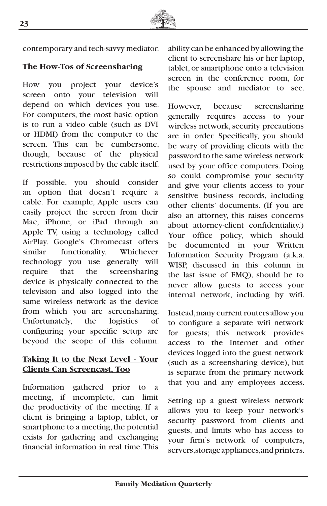

contemporary and tech-savvy mediator.

#### **The How-Tos of Screensharing**

How you project your device's screen onto your television will depend on which devices you use. For computers, the most basic option is to run a video cable (such as DVI or HDMI) from the computer to the screen. This can be cumbersome, though, because of the physical restrictions imposed by the cable itself.

If possible, you should consider an option that doesn't require a cable. For example, Apple users can easily project the screen from their Mac, iPhone, or iPad through an Apple TV, using a technology called AirPlay. Google's Chromecast offers similar functionality. Whichever technology you use generally will require that the screensharing device is physically connected to the television and also logged into the same wireless network as the device from which you are screensharing. Unfortunately, the logistics of configuring your specific setup are beyond the scope of this column.

#### **Taking It to the Next Level - Your Clients Can Screencast, Too**

Information gathered prior to a meeting, if incomplete, can limit the productivity of the meeting. If a client is bringing a laptop, tablet, or smartphone to a meeting, the potential exists for gathering and exchanging financial information in real time. This

ability can be enhanced by allowing the client to screenshare his or her laptop, tablet, or smartphone onto a television screen in the conference room, for the spouse and mediator to see.

However, because screensharing generally requires access to your wireless network, security precautions are in order. Specifically, you should be wary of providing clients with the password to the same wireless network used by your office computers. Doing so could compromise your security and give your clients access to your sensitive business records, including other clients' documents. (If you are also an attorney, this raises concerns about attorney-client confidentiality.) Your office policy, which should be documented in your Written Information Security Program (a.k.a. WISP, discussed in this column in the last issue of FMQ), should be to never allow guests to access your internal network, including by wifi.

Instead, many current routers allow you to configure a separate wifi network for guests; this network provides access to the Internet and other devices logged into the guest network (such as a screensharing device), but is separate from the primary network that you and any employees access.

Setting up a guest wireless network allows you to keep your network's security password from clients and guests, and limits who has access to your firm's network of computers, servers, storage appliances, and printers.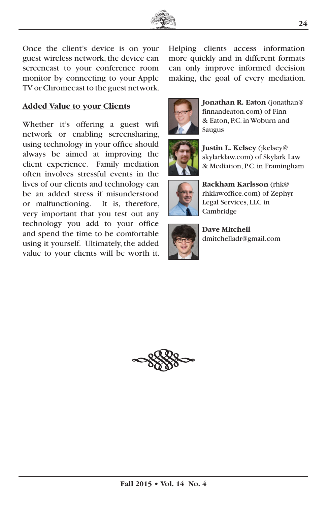

Once the client's device is on your guest wireless network, the device can screencast to your conference room monitor by connecting to your Apple TV or Chromecast to the guest network.

#### **Added Value to your Clients**

Whether it's offering a guest wifi network or enabling screensharing, using technology in your office should always be aimed at improving the client experience. Family mediation often involves stressful events in the lives of our clients and technology can be an added stress if misunderstood or malfunctioning. It is, therefore, very important that you test out any technology you add to your office and spend the time to be comfortable using it yourself. Ultimately, the added value to your clients will be worth it. Helping clients access information more quickly and in different formats can only improve informed decision making, the goal of every mediation.



**Jonathan R. Eaton** (jonathan@ finnandeaton.com) of Finn & Eaton, P.C. in Woburn and Saugus



**Justin L. Kelsey** (jkelsey@ skylarklaw.com) of Skylark Law & Mediation, P.C. in Framingham



**Rackham Karlsson** (rhk@ rhklawoffice.com) of Zephyr Legal Services, LLC in Cambridge



**Dave Mitchell** dmitchelladr@gmail.com

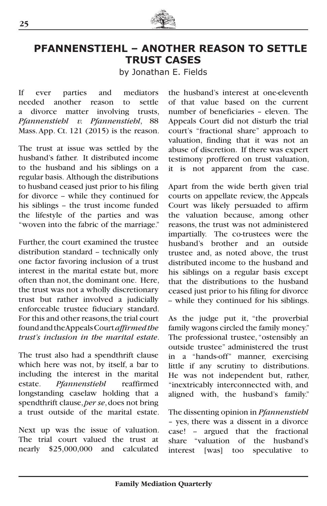

## **PFANNENSTIEHL – ANOTHER REASON TO SETTLE TRUST CASES**

by Jonathan E. Fields

If ever parties and mediators needed another reason to settle a divorce matter involving trusts, *Pfannenstiehl v. Pfannenstiehl*, 88 Mass. App. Ct. 121  $(2015)$  is the reason.

The trust at issue was settled by the husband's father. It distributed income to the husband and his siblings on a regular basis. Although the distributions to husband ceased just prior to his filing for divorce - while they continued for his siblings - the trust income funded the lifestyle of the parties and was "woven into the fabric of the marriage."

Further, the court examined the trustee distribution standard - technically only one factor favoring inclusion of a trust interest in the marital estate but, more often than not, the dominant one. Here, the trust was not a wholly discretionary trust but rather involved a judicially enforceable trustee fiduciary standard. For this and other reasons, the trial court found and the Appeals Court *affirmed the trust's inclusion in the marital estate*.

The trust also had a spendthrift clause which here was not, by itself, a bar to including the interest in the marital estate. *Pfannenstiehl* reaffirmed longstanding caselaw holding that a spendthrift clause, *per se*, does not bring a trust outside of the marital estate.

Next up was the issue of valuation. The trial court valued the trust at nearly \$25,000,000 and calculated

the husband's interest at one-eleventh of that value based on the current number of beneficiaries – eleven. The Appeals Court did not disturb the trial court's "fractional share" approach to valuation, finding that it was not an abuse of discretion. If there was expert testimony proffered on trust valuation, it is not apparent from the case.

Apart from the wide berth given trial courts on appellate review, the Appeals Court was likely persuaded to affirm the valuation because, among other reasons, the trust was not administered impartially. The co-trustees were the husband's brother and an outside trustee and, as noted above, the trust distributed income to the husband and his siblings on a regular basis except that the distributions to the husband ceased just prior to his filing for divorce -- while they continued for his siblings.

As the judge put it, "the proverbial family wagons circled the family money." The professional trustee, "ostensibly an outside trustee" administered the trust in a "hands-off" manner, exercising little if any scrutiny to distributions. He was not independent but, rather, "inextricably interconnected with, and aligned with, the husband's family."

The dissenting opinion in *Pfannenstiehl* – yes, there was a dissent in a divorce case! - argued that the fractional share "valuation of the husband's interest [was] too speculative to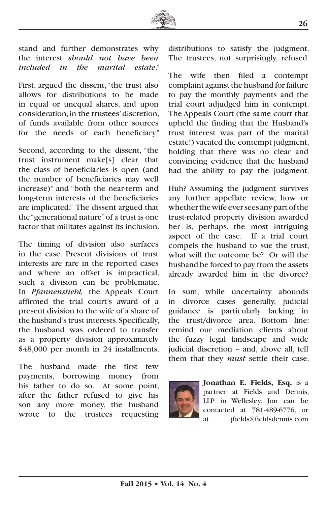

stand and further demonstrates why the interest *should not have been included in the marital estate*."

First, argued the dissent, "the trust also allows for distributions to be made in equal or unequal shares, and upon consideration, in the trustees' discretion, of funds available from other sources for the needs of each beneficiary."

Second, according to the dissent, "the trust instrument make[s] clear that the class of beneficiaries is open (and the number of beneficiaries may well increase)" and "both the near-term and long-term interests of the beneficiaries are implicated." The dissent argued that the "generational nature" of a trust is one factor that militates against its inclusion.

The timing of division also surfaces in the case. Present divisions of trust interests are rare in the reported cases and where an offset is impractical, such a division can be problematic. In *Pfannenstiehl,* the Appeals Court affirmed the trial court's award of a present division to the wife of a share of the husband's trust interests. Specifically, the husband was ordered to transfer as a property division approximately \$48,000 per month in 24 installments.

The husband made the first few payments, borrowing money from his father to do so. At some point, after the father refused to give his son any more money, the husband wrote to the trustees requesting

distributions to satisfy the judgment. The trustees, not surprisingly, refused.

The wife then filed a contempt complaint against the husband for failure to pay the monthly payments and the trial court adjudged him in contempt. The Appeals Court (the same court that upheld the finding that the Husband's trust interest was part of the marital estate!) vacated the contempt judgment, holding that there was no clear and convincing evidence that the husband had the ability to pay the judgment.

Huh? Assuming the judgment survives any further appellate review, how or whether the wife ever sees any part of the trust-related property division awarded her is, perhaps, the most intriguing aspect of the case. If a trial court compels the husband to sue the trust, what will the outcome be? Or will the husband be forced to pay from the assets already awarded him in the divorce?

In sum, while uncertainty abounds in divorce cases generally, judicial guidance is particularly lacking in the trust/divorce area. Bottom line: remind our mediation clients about the fuzzy legal landscape and wide judicial discretion -- and, above all, tell them that they *must* settle their case.



**Jonathan E. Fields, Esq.** is a partner at Fields and Dennis, LLP in Wellesley. Jon can be contacted at 781-489-6776, or at jfields@fieldsdennis.com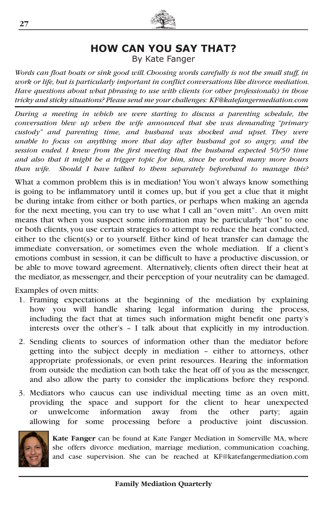

## **HOW CAN YOU SAY THAT?**

By Kate Fanger

*Words can float boats or sink good will. Choosing words carefully is not the small stuff, in work or life, but is particularly important in conflict conversations like divorce mediation. Have questions about what phrasing to use with clients (or other professionals) in those tricky and sticky situations? Please send me your challenges: KF@katefangermediation.com*

*During a meeting in which we were starting to discuss a parenting schedule, the conversation blew up when the wife announced that she was demanding "primary custody" and parenting time, and husband was shocked and upset. They were unable to focus on anything more that day after husband got so angry, and the session ended. I knew from the first meeting that the husband expected 50/50 time and also that it might be a trigger topic for him, since he worked many more hours than wife. Should I have talked to them separately beforehand to manage this?*

What a common problem this is in mediation! You won't always know something is going to be inflammatory until it comes up, but if you get a clue that it might be during intake from either or both parties, or perhaps when making an agenda for the next meeting, you can try to use what I call an "oven mitt". An oven mitt means that when you suspect some information may be particularly "hot" to one or both clients, you use certain strategies to attempt to reduce the heat conducted, either to the client(s) or to yourself. Either kind of heat transfer can damage the immediate conversation, or sometimes even the whole mediation. If a client's emotions combust in session, it can be difficult to have a productive discussion, or be able to move toward agreement. Alternatively, clients often direct their heat at the mediator, as messenger, and their perception of your neutrality can be damaged.

Examples of oven mitts:

- 1. Framing expectations at the beginning of the mediation by explaining how you will handle sharing legal information during the process, including the fact that at times such information might benefit one party's interests over the other's – I talk about that explicitly in my introduction.
- 2. Sending clients to sources of information other than the mediator before getting into the subject deeply in mediation – either to attorneys, other appropriate professionals, or even print resources. Hearing the information from outside the mediation can both take the heat off of you as the messenger, and also allow the party to consider the implications before they respond.
- 3. Mediators who caucus can use individual meeting time as an oven mitt, providing the space and support for the client to hear unexpected or unwelcome information away from the other party; again allowing for some processing before a productive joint discussion.



**Kate Fanger** can be found at Kate Fanger Mediation in Somerville MA, where she offers divorce mediation, marriage mediation, communication coaching, and case supervision. She can be reached at KF@katefangermediation.com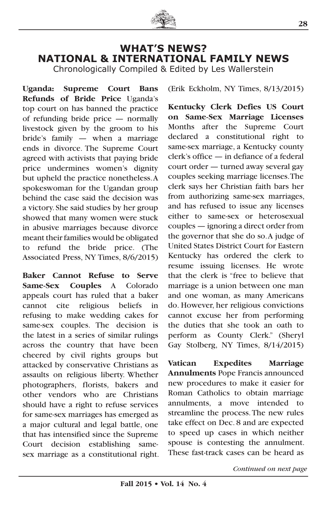

## **WHAT'S NEWS? NATIONAL & INTERNATIONAL FAMILY NEWS**

Chronologically Compiled & Edited by Les Wallerstein

**Uganda: Supreme Court Bans Refunds of Bride Price** Uganda's top court on has banned the practice of refunding bride price — normally livestock given by the groom to his bride's family — when a marriage ends in divorce. The Supreme Court agreed with activists that paying bride price undermines women's dignity but upheld the practice nonetheless. A spokeswoman for the Ugandan group behind the case said the decision was a victory. She said studies by her group showed that many women were stuck in abusive marriages because divorce meant their families would be obligated to refund the bride price. (The Associated Press, NY Times, 8/6/2015)

**Baker Cannot Refuse to Serve Same-Sex Couples** A Colorado appeals court has ruled that a baker cannot cite religious beliefs in refusing to make wedding cakes for same-sex couples. The decision is the latest in a series of similar rulings across the country that have been cheered by civil rights groups but attacked by conservative Christians as assaults on religious liberty. Whether photographers, florists, bakers and other vendors who are Christians should have a right to refuse services for same-sex marriages has emerged as a major cultural and legal battle, one that has intensified since the Supreme Court decision establishing samesex marriage as a constitutional right. (Erik Eckholm, NY Times, 8/13/2015)

**Kentucky Clerk Defies US Court on Same-Sex Marriage Licenses** Months after the Supreme Court declared a constitutional right to same-sex marriage, a Kentucky county clerk's office — in defiance of a federal court order — turned away several gay couples seeking marriage licenses. The clerk says her Christian faith bars her from authorizing same-sex marriages, and has refused to issue any licenses either to same-sex or heterosexual couples — ignoring a direct order from the governor that she do so. A judge of United States District Court for Eastern Kentucky has ordered the clerk to resume issuing licenses. He wrote that the clerk is "free to believe that marriage is a union between one man and one woman, as many Americans do. However, her religious convictions cannot excuse her from performing the duties that she took an oath to perform as County Clerk." (Sheryl Gay Stolberg, NY Times, 8/14/2015)

**Vatican Expedites Marriage Annulments** Pope Francis announced new procedures to make it easier for Roman Catholics to obtain marriage annulments, a move intended to streamline the process. The new rules take effect on Dec. 8 and are expected to speed up cases in which neither spouse is contesting the annulment. These fast-track cases can be heard as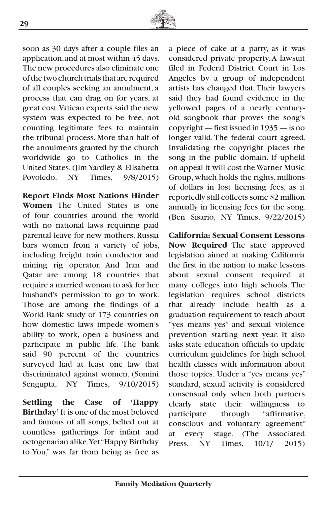

soon as 30 days after a couple files an application, and at most within 45 days. The new procedures also eliminate one of the two church trials that are required of all couples seeking an annulment, a process that can drag on for years, at great cost. Vatican experts said the new system was expected to be free, not counting legitimate fees to maintain the tribunal process. More than half of the annulments granted by the church worldwide go to Catholics in the United States. (Jim Yardley & Elisabetta Povoledo, NY Times, 9/8/2015)

**Report Finds Most Nations Hinder Women** The United States is one of four countries around the world with no national laws requiring paid parental leave for new mothers. Russia bars women from a variety of jobs, including freight train conductor and mining rig operator. And Iran and Qatar are among 18 countries that require a married woman to ask for her husband's permission to go to work. Those are among the findings of a World Bank study of 173 countries on how domestic laws impede women's ability to work, open a business and participate in public life. The bank said 90 percent of the countries surveyed had at least one law that discriminated against women. (Somini Sengupta, NY Times, 9/10/2015)

**Settling the Case of 'Happy Birthday'** It is one of the most beloved and famous of all songs, belted out at countless gatherings for infant and octogenarian alike. Yet "Happy Birthday to You," was far from being as free as

a piece of cake at a party, as it was considered private property. A lawsuit filed in Federal District Court in Los Angeles by a group of independent artists has changed that. Their lawyers said they had found evidence in the yellowed pages of a nearly centuryold songbook that proves the song's copyright — first issued in 1935 — is no longer valid. The federal court agreed. Invalidating the copyright places the song in the public domain. If upheld on appeal it will cost the Warner Music Group, which holds the rights, millions of dollars in lost licensing fees, as it reportedly still collects some \$2 million annually in licensing fees for the song. (Ben Sisario, NY Times, 9/22/2015)

**California: Sexual Consent Lessons Now Required** The state approved legislation aimed at making California the first in the nation to make lessons about sexual consent required at many colleges into high schools. The legislation requires school districts that already include health as graduation requirement to teach about "yes means yes" and sexual violence prevention starting next year. It also asks state education officials to update curriculum guidelines for high school health classes with information about those topics. Under a "yes means yes" standard, sexual activity is considered consensual only when both partners clearly state their willingness to participate through "affirmative, conscious and voluntary agreement" at every stage. (The Associated Press, NY Times, 10/1/ 2015)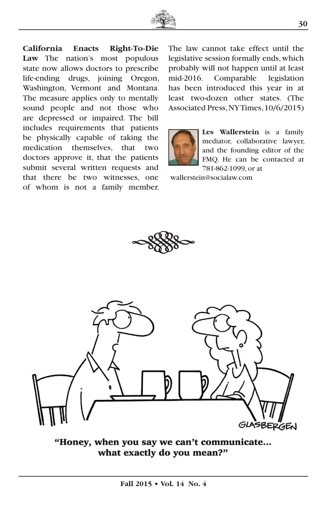

**California Enacts Right-To-Die Law** The nation's most populous state now allows doctors to prescribe life-ending drugs, joining Oregon, Washington, Vermont and Montana. The measure applies only to mentally sound people and not those who are depressed or impaired. The bill includes requirements that patients be physically capable of taking the medication themselves, that two doctors approve it, that the patients submit several written requests and that there be two witnesses, one of whom is not a family member.

The law cannot take effect until the legislative session formally ends, which probably will not happen until at least mid-2016. Comparable legislation has been introduced this year in at least two-dozen other states. (The Associated Press, NY Times, 10/6/2015)



**Les Wallerstein** is a family mediator, collaborative lawyer, and the founding editor of the FMQ. He can be contacted at 781-862-1099, or at

wallerstein@socialaw.com





"Honey, when you say we can't communicate... what exactly do you mean?"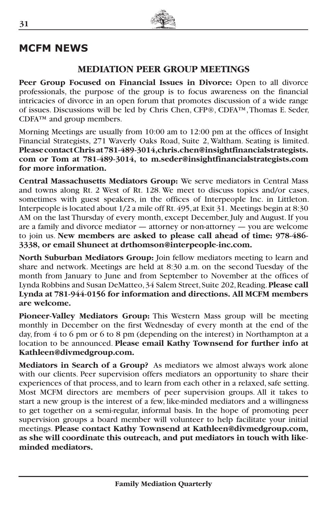## **MCFM NEWS**

### **MEDIATION PEER GROUP MEETINGS**

**Peer Group Focused on Financial Issues in Divorce:** Open to all divorce professionals, the purpose of the group is to focus awareness on the financial intricacies of divorce in an open forum that promotes discussion of a wide range of issues. Discussions will be led by Chris Chen, CFP®, CDFA™, Thomas E. Seder, CDFA™ and group members.

Morning Meetings are usually from 10:00 am to 12:00 pm at the offices of Insight Financial Strategists, 271 Waverly Oaks Road, Suite 2, Waltham. Seating is limited. **Please contact Chris at 781-489-3014,chris.chen@insightfinancialstrategists. com or Tom at 781-489-3014, to m.seder@insightfinancialstrategists.com for more information.**

**Central Massachusetts Mediators Group:** We serve mediators in Central Mass and towns along Rt. 2 West of Rt. 128. We meet to discuss topics and/or cases, sometimes with guest speakers, in the offices of Interpeople Inc. in Littleton. Interpeople is located about 1/2 a mile off Rt. 495, at Exit 31. Meetings begin at 8:30 AM on the last Thursday of every month, except December, July and August. If you are a family and divorce mediator — attorney or non-attorney — you are welcome to join us. **New members are asked to please call ahead of time: 978-486- 3338, or email Shuneet at drthomson@interpeople-inc.com.** 

**North Suburban Mediators Group:** Join fellow mediators meeting to learn and share and network. Meetings are held at 8:30 a.m. on the second Tuesday of the month from January to June and from September to November at the offices of Lynda Robbins and Susan DeMatteo, 34 Salem Street, Suite 202, Reading. **Please call Lynda at 781-944-0156 for information and directions. All MCFM members are welcome.**

**Pioneer-Valley Mediators Group:** This Western Mass group will be meeting monthly in December on the first Wednesday of every month at the end of the day, from 4 to 6 pm or 6 to 8 pm (depending on the interest) in Northampton at a location to be announced. **Please email Kathy Townsend for further info at Kathleen@divmedgroup.com.**

**Mediators in Search of a Group?** As mediators we almost always work alone with our clients. Peer supervision offers mediators an opportunity to share their experiences of that process, and to learn from each other in a relaxed, safe setting. Most MCFM directors are members of peer supervision groups. All it takes to start a new group is the interest of a few, like-minded mediators and a willingness to get together on a semi-regular, informal basis. In the hope of promoting peer supervision groups a board member will volunteer to help facilitate your initial meetings. **Please contact Kathy Townsend at Kathleen@divmedgroup.com, as she will coordinate this outreach, and put mediators in touch with likeminded mediators.**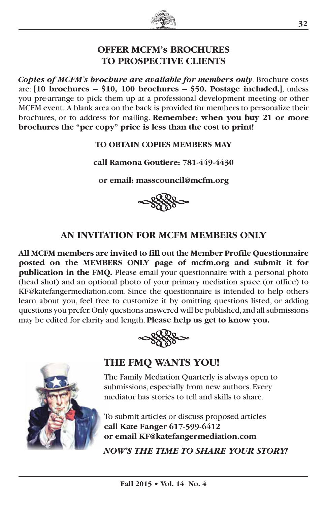

## **OFFER MCFM's BROCHURES TO PROSPECTIVE CLIENTS**

*Copies of MCFM's brochure are available for members only*. Brochure costs are: **[10 brochures – \$10, 100 brochures – \$50. Postage included.]**, unless you pre-arrange to pick them up at a professional development meeting or other MCFM event. A blank area on the back is provided for members to personalize their brochures, or to address for mailing. **Remember: when you buy 21 or more brochures the "per copy" price is less than the cost to print!**

**TO OBTAIN COPIES MEMBERS MAY** 

**call Ramona Goutiere: 781-449-4430**

**or email: masscouncil@mcfm.org**



## **AN INVITATION FOR MCFM MEMBERS ONLY**

**All MCFM members are invited to fill out the Member Profile Questionnaire posted on the MEMBERS ONLY page of mcfm.org and submit it for publication in the FMQ.** Please email your questionnaire with a personal photo (head shot) and an optional photo of your primary mediation space (or office) to KF@katefangermediation.com. Since the questionnaire is intended to help others learn about you, feel free to customize it by omitting questions listed, or adding questions you prefer. Only questions answered will be published, and all submissions may be edited for clarity and length. **Please help us get to know you.**





## **THE FMQ WANTS YOU!**

The Family Mediation Quarterly is always open to submissions, especially from new authors. Every mediator has stories to tell and skills to share.

To submit articles or discuss proposed articles **call Kate Fanger 617-599-6412 or email KF@katefangermediation.com**

*NOW'S THE TIME TO SHARE YOUR STORY!*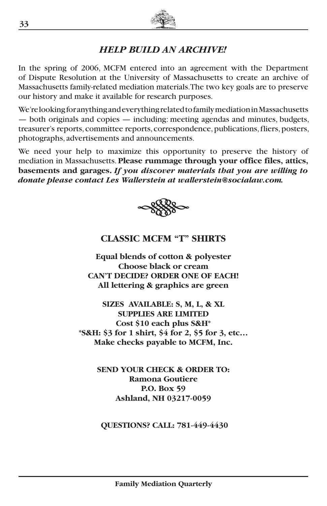

## *HELP BUILD AN ARCHIVE!*

In the spring of 2006, MCFM entered into an agreement with the Department of Dispute Resolution at the University of Massachusetts to create an archive of Massachusetts family-related mediation materials. The two key goals are to preserve our history and make it available for research purposes.

We're looking for anything and everything related to family mediation in Massachusetts — both originals and copies — including: meeting agendas and minutes, budgets, treasurer's reports, committee reports, correspondence, publications, fliers, posters, photographs, advertisements and announcements.

We need your help to maximize this opportunity to preserve the history of mediation in Massachusetts. **Please rummage through your office files, attics, basements and garages.** *If you discover materials that you are willing to donate please contact Les Wallerstein at wallerstein@socialaw.com.*



## **CLASSIC MCFM "T" SHIRTS**

**Equal blends of cotton & polyester Choose black or cream CAN'T DECIDE? ORDER ONE OF EACH! All lettering & graphics are green**

**SIZES AVAILABLE: S, M, L, & XL SUPPLIES ARE LIMITED Cost \$10 each plus S&H\* \*S&H: \$3 for 1 shirt, \$4 for 2, \$5 for 3, etc… Make checks payable to MCFM, Inc.**

> **SEND YOUR CHECK & ORDER TO: Ramona Goutiere P.O. Box 59 Ashland, NH 03217-0059**

 **QUESTIONS? CALL: 781-449-4430**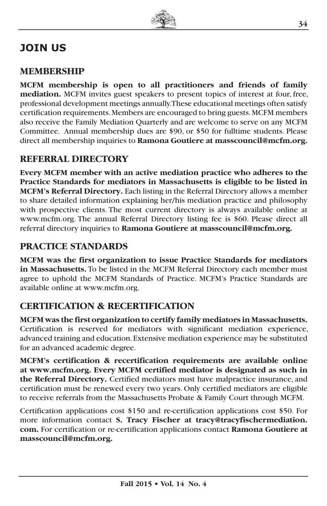## **JOIN US**

## **MEMBERSHIP**

**MCFM membership is open to all practitioners and friends of family mediation.** MCFM invites guest speakers to present topics of interest at four, free, professional development meetings annually. These educational meetings often satisfy certification requirements. Members are encouraged to bring guests. MCFM members also receive the Family Mediation Quarterly and are welcome to serve on any MCFM Committee. Annual membership dues are \$90, or \$50 for fulltime students. Please direct all membership inquiries to **Ramona Goutiere at masscouncil@mcfm.org.**

## **REFERRAL DIRECTORY**

**Every MCFM member with an active mediation practice who adheres to the Practice Standards for mediators in Massachusetts is eligible to be listed in MCFM's Referral Directory.** Each listing in the Referral Directory allows a member to share detailed information explaining her/his mediation practice and philosophy with prospective clients. The most current directory is always available online at www.mcfm.org. The annual Referral Directory listing fee is \$60. Please direct all referral directory inquiries to **Ramona Goutiere at masscouncil@mcfm.org.**

## **PRACTICE STANDARDS**

**MCFM was the first organization to issue Practice Standards for mediators in Massachusetts.** To be listed in the MCFM Referral Directory each member must agree to uphold the MCFM Standards of Practice. MCFM's Practice Standards are available online at www.mcfm.org.

## **CERTIFICATION & RECERTIFICATION**

**MCFM was the first organization to certify family mediators in Massachusetts.**  Certification is reserved for mediators with significant mediation experience, advanced training and education. Extensive mediation experience may be substituted for an advanced academic degree.

**MCFM's certification & recertification requirements are available online at www.mcfm.org. Every MCFM certified mediator is designated as such in the Referral Directory.** Certified mediators must have malpractice insurance, and certification must be renewed every two years. Only certified mediators are eligible to receive referrals from the Massachusetts Probate & Family Court through MCFM.

Certification applications cost \$150 and re-certification applications cost \$50. For more information contact **S. Tracy Fischer at tracy@tracyfischermediation. com.** For certification or re-certification applications contact **Ramona Goutiere at masscouncil@mcfm.org.**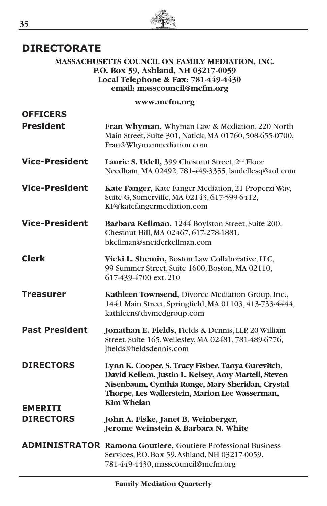

## **DIRECTORATE**

#### **MASSACHUSETTS COUNCIL ON FAMILY MEDIATION, INC. P.O. Box 59, Ashland, NH 03217-0059 Local Telephone & Fax: 781-449-4430 email: masscouncil@mcfm.org**

#### **www.mcfm.org**

| <b>OFFICERS</b><br><b>President</b> | Fran Whyman, Whyman Law & Mediation, 220 North<br>Main Street, Suite 301, Natick, MA 01760, 508-655-0700,<br>Fran@Whymanmediation.com                                                                                               |
|-------------------------------------|-------------------------------------------------------------------------------------------------------------------------------------------------------------------------------------------------------------------------------------|
| <b>Vice-President</b>               | Laurie S. Udell, 399 Chestnut Street, 2 <sup>nd</sup> Floor<br>Needham, MA 02492, 781-449-3355, lsudellesq@aol.com                                                                                                                  |
| <b>Vice-President</b>               | Kate Fanger, Kate Fanger Mediation, 21 Properzi Way,<br>Suite G, Somerville, MA 02143, 617-599-6412,<br>KF@katefangermediation.com                                                                                                  |
| <b>Vice-President</b>               | Barbara Kellman, 1244 Boylston Street, Suite 200,<br>Chestnut Hill, MA 02467, 617-278-1881,<br>bkellman@sneiderkellman.com                                                                                                          |
| <b>Clerk</b>                        | Vicki L. Shemin, Boston Law Collaborative, LLC,<br>99 Summer Street, Suite 1600, Boston, MA 02110,<br>617-439-4700 ext. 210                                                                                                         |
| Treasurer                           | Kathleen Townsend, Divorce Mediation Group, Inc.,<br>1441 Main Street, Springfield, MA 01103, 413-733-4444,<br>kathleen@divmedgroup.com                                                                                             |
| <b>Past President</b>               | Jonathan E. Fields, Fields & Dennis, LLP, 20 William<br>Street, Suite 165, Wellesley, MA 02481, 781-489-6776,<br>jfields@fieldsdennis.com                                                                                           |
| <b>DIRECTORS</b><br><b>EMERITI</b>  | Lynn K. Cooper, S. Tracy Fisher, Tanya Gurevitch,<br>David Kellem, Justin L. Kelsey, Amy Martell, Steven<br>Nisenbaum, Cynthia Runge, Mary Sheridan, Crystal<br>Thorpe, Les Wallerstein, Marion Lee Wasserman,<br><b>Kim Whelan</b> |
| <b>DIRECTORS</b>                    | John A. Fiske, Janet B. Weinberger,<br>Jerome Weinstein & Barbara N. White                                                                                                                                                          |
|                                     | <b>ADMINISTRATOR Ramona Goutiere, Goutiere Professional Business</b><br>Services, P.O. Box 59, Ashland, NH 03217-0059,<br>781-449-4430, masscouncil@mcfm.org                                                                        |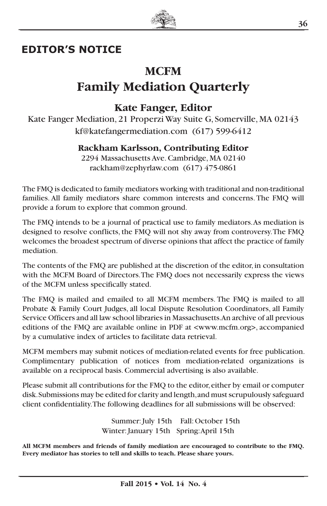

## **EDITOR'S NOTICE**

## **MCFM Family Mediation Quarterly**

## **Kate Fanger, Editor**

Kate Fanger Mediation, 21 Properzi Way Suite G, Somerville, MA 02143 kf@katefangermediation.com (617) 599-6412

#### **Rackham Karlsson, Contributing Editor**

2294 Massachusetts Ave. Cambridge, MA 02140 rackham@zephyrlaw.com (617) 475-0861

The FMQ is dedicated to family mediators working with traditional and non-traditional families. All family mediators share common interests and concerns. The FMQ will provide a forum to explore that common ground.

The FMQ intends to be a journal of practical use to family mediators. As mediation is designed to resolve conflicts, the FMQ will not shy away from controversy. The FMQ welcomes the broadest spectrum of diverse opinions that affect the practice of family mediation.

The contents of the FMQ are published at the discretion of the editor, in consultation with the MCFM Board of Directors. The FMQ does not necessarily express the views of the MCFM unless specifically stated.

The FMQ is mailed and emailed to all MCFM members. The FMQ is mailed to all Probate & Family Court Judges, all local Dispute Resolution Coordinators, all Family Service Officers and all law school libraries in Massachusetts. An archive of all previous editions of the FMQ are available online in PDF at <www.mcfm.org>, accompanied by a cumulative index of articles to facilitate data retrieval.

MCFM members may submit notices of mediation-related events for free publication. Complimentary publication of notices from mediation-related organizations is available on a reciprocal basis. Commercial advertising is also available.

Please submit all contributions for the FMQ to the editor, either by email or computer disk. Submissions may be edited for clarity and length, and must scrupulously safeguard client confidentiality. The following deadlines for all submissions will be observed:

> Summer: July 15th Fall: October 15th Winter: January 15th Spring: April 15th

**All MCFM members and friends of family mediation are encouraged to contribute to the FMQ. Every mediator has stories to tell and skills to teach. Please share yours.**